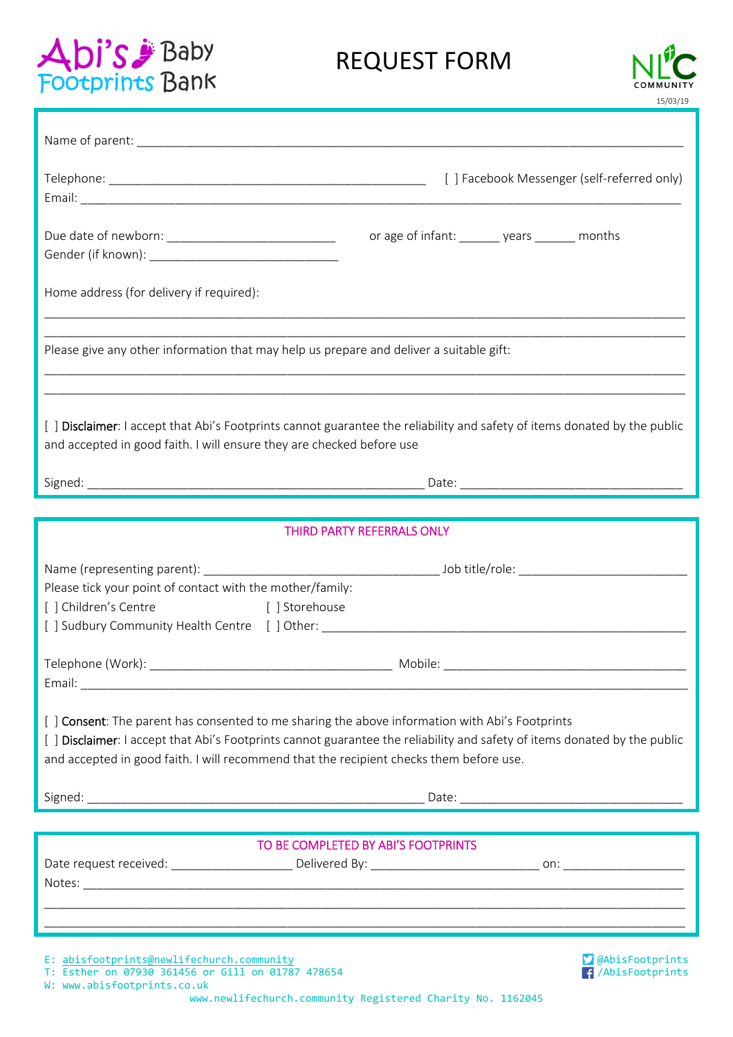# Baby<br>Footprints Bank

# REQUEST FORM



/AbisFootprints

| or age of infant: _______ years _______ months<br>Due date of newborn: _________________________________                                                                                                                                                                                                                |
|-------------------------------------------------------------------------------------------------------------------------------------------------------------------------------------------------------------------------------------------------------------------------------------------------------------------------|
| Home address (for delivery if required):                                                                                                                                                                                                                                                                                |
| Please give any other information that may help us prepare and deliver a suitable gift:<br>,我们也不能在这里的时候,我们也不能在这里的时候,我们也不能会在这里的时候,我们也不能会在这里的时候,我们也不能会在这里的时候,我们也不能会在这里的时候,我们也不                                                                                                                                            |
| [ ] Disclaimer: I accept that Abi's Footprints cannot guarantee the reliability and safety of items donated by the public<br>and accepted in good faith. I will ensure they are checked before use                                                                                                                      |
|                                                                                                                                                                                                                                                                                                                         |
| THIRD PARTY REFERRALS ONLY                                                                                                                                                                                                                                                                                              |
|                                                                                                                                                                                                                                                                                                                         |
| Please tick your point of contact with the mother/family:<br>[ ] Storehouse<br>[ ] Children's Centre<br>[] Sudbury Community Health Centre [ ] Other: __________________________________                                                                                                                                |
|                                                                                                                                                                                                                                                                                                                         |
| [ ] Consent: The parent has consented to me sharing the above information with Abi's Footprints<br>[ ] Disclaimer: I accept that Abi's Footprints cannot guarantee the reliability and safety of items donated by the public<br>and accepted in good faith. I will recommend that the recipient checks them before use. |
|                                                                                                                                                                                                                                                                                                                         |
|                                                                                                                                                                                                                                                                                                                         |
| TO BE COMPLETED BY ABI'S FOOTPRINTS                                                                                                                                                                                                                                                                                     |
| E: abisfootprints@newlifechurch.community<br><b>S</b> @AbisFootprints                                                                                                                                                                                                                                                   |

T: Esther on 07930 361456 or Gill on 01787 478654

W: www.abisfootprints.co.uk

www.newlifechurch.community Registered Charity No. 1162045